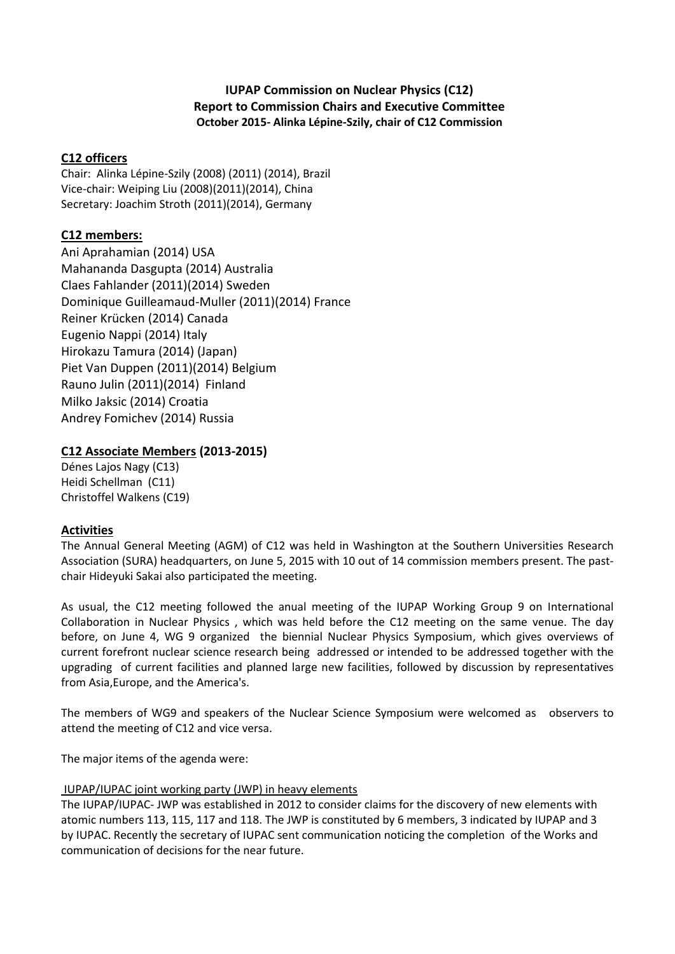# **IUPAP Commission on Nuclear Physics (C12) Report to Commission Chairs and Executive Committee October 2015- Alinka Lépine-Szily, chair of C12 Commission**

### **C12 officers**

Chair: Alinka Lépine-Szily (2008) (2011) (2014), Brazil Vice-chair: Weiping Liu (2008)(2011)(2014), China Secretary: Joachim Stroth (2011)(2014), Germany

# **C12 members:**

Ani Aprahamian (2014) USA Mahananda Dasgupta (2014) Australia Claes Fahlander (2011)(2014) Sweden Dominique Guilleamaud-Muller (2011)(2014) France Reiner Krücken (2014) Canada Eugenio Nappi (2014) Italy Hirokazu Tamura (2014) (Japan) Piet Van Duppen (2011)(2014) Belgium Rauno Julin (2011)(2014) Finland Milko Jaksic (2014) Croatia Andrey Fomichev (2014) Russia

# **C12 Associate Members (2013-2015)**

Dénes Lajos Nagy (C13) Heidi Schellman (C11) Christoffel Walkens (C19)

### **Activities**

The Annual General Meeting (AGM) of C12 was held in Washington at the Southern Universities Research Association (SURA) headquarters, on June 5, 2015 with 10 out of 14 commission members present. The pastchair Hideyuki Sakai also participated the meeting.

As usual, the C12 meeting followed the anual meeting of the IUPAP Working Group 9 on International Collaboration in Nuclear Physics , which was held before the C12 meeting on the same venue. The day before, on June 4, WG 9 organized the biennial Nuclear Physics Symposium, which gives overviews of current forefront nuclear science research being addressed or intended to be addressed together with the upgrading of current facilities and planned large new facilities, followed by discussion by representatives from Asia,Europe, and the America's.

The members of WG9 and speakers of the Nuclear Science Symposium were welcomed as observers to attend the meeting of C12 and vice versa.

The major items of the agenda were:

### IUPAP/IUPAC joint working party (JWP) in heavy elements

The IUPAP/IUPAC- JWP was established in 2012 to consider claims for the discovery of new elements with atomic numbers 113, 115, 117 and 118. The JWP is constituted by 6 members, 3 indicated by IUPAP and 3 by IUPAC. Recently the secretary of IUPAC sent communication noticing the completion of the Works and communication of decisions for the near future.